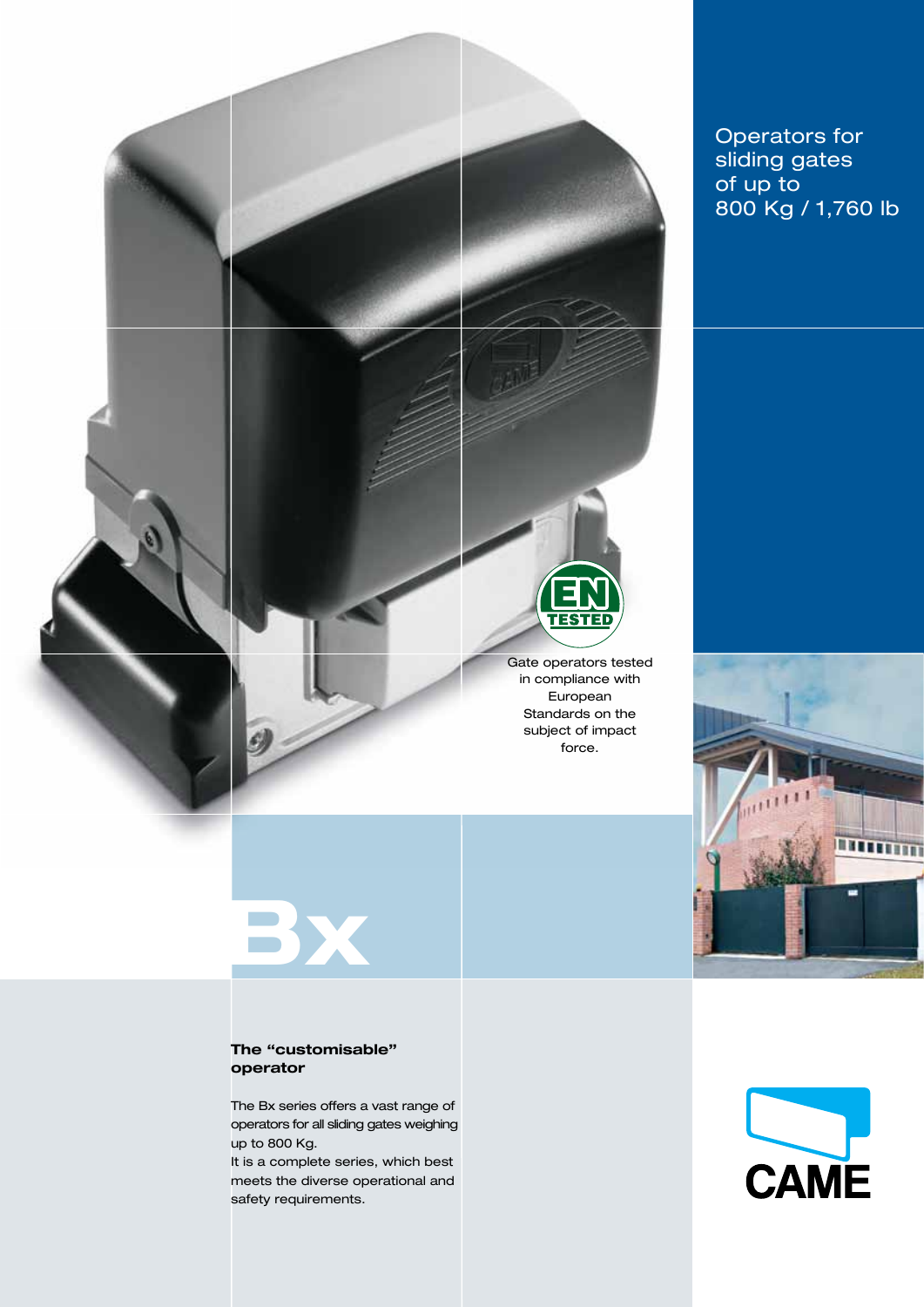

Operators for sliding gates of up to 800 Kg / 1,760 lb



## The "customisable"

operator

**BX** 

The Bx series offers a vast range of operators for all sliding gates weighing up to 800 Kg.

It is a complete series, which best meets the diverse operational and safety requirements.

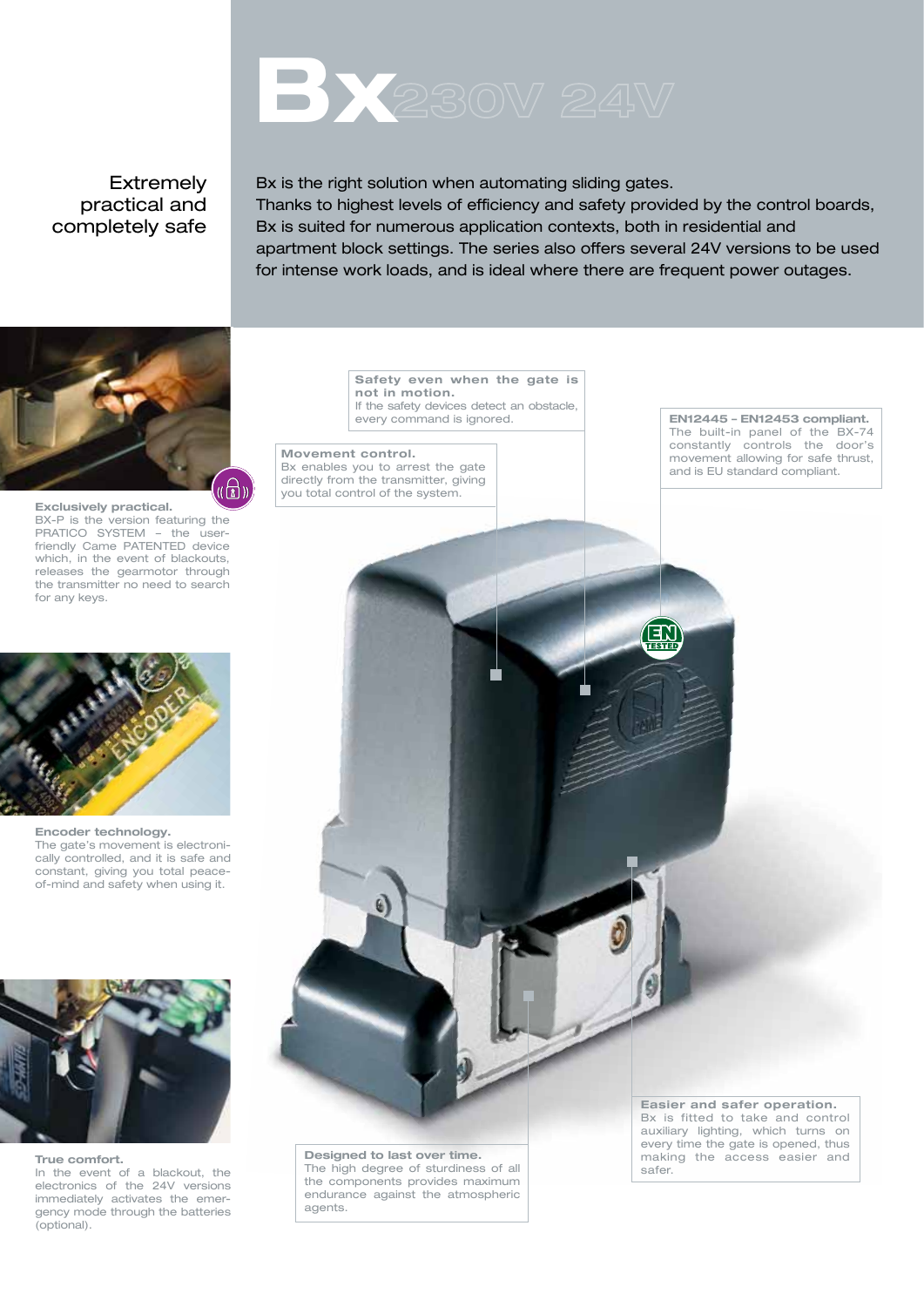# **BX** 230V 24V

#### Extremely practical and completely safe

Bx is the right solution when automating sliding gates. Thanks to highest levels of efficiency and safety provided by the control boards, Bx is suited for numerous application contexts, both in residential and apartment block settings. The series also offers several 24V versions to be used for intense work loads, and is ideal where there are frequent power outages.



Exclusively practical. BX-P is the version featuring the PRATICO SYSTEM - the userfriendly Came PATENTED device which, in the event of blackouts, releases the gearmotor through the transmitter no need to search for any keys.



Encoder technology. The gate's movement is electronically controlled, and it is safe and constant, giving you total peaceof-mind and safety when using it.



True comfort. In the event of a blackout, the electronics of the 24V versions immediately activates the emergency mode through the batteries (optional).

Safety even when the gate is not in motion. If the safety devices detect an obstacle.

Movement control.

Bx enables you to arrest the gate directly from the transmitter, giving you total control of the system.

every command is ignored. **EN12445 – EN12453 compliant.** The built-in panel of the BX-74 constantly controls the door's movement allowing for safe thrust, and is EU standard compliant.

Designed to last over time. The high degree of sturdiness of all the components provides maximum endurance against the atmospheric agents.

 $\overline{G}$ 

Easier and safer operation. Bx is fitted to take and control auxiliary lighting, which turns on every time the gate is opened, thus making the access easier and safer.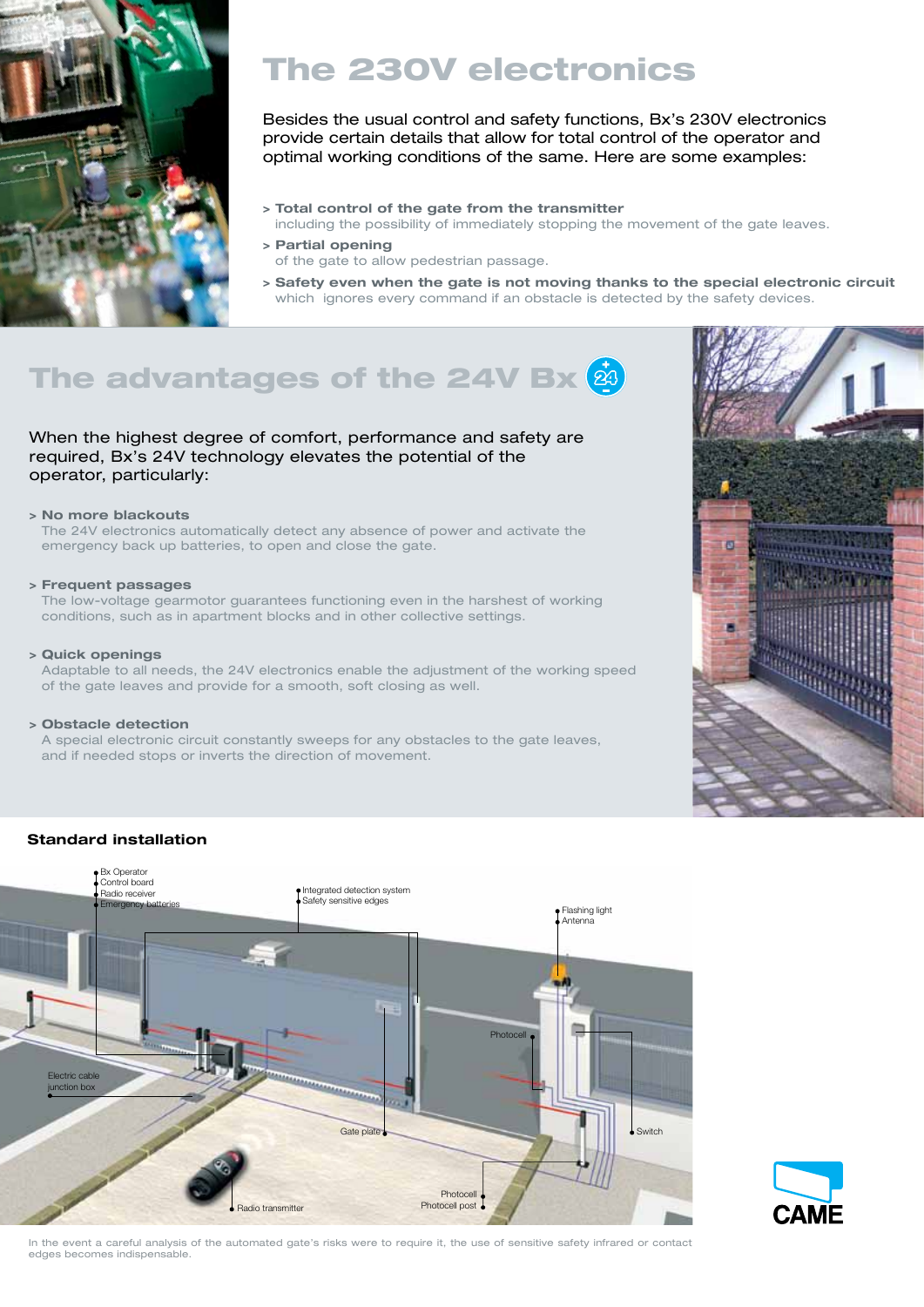

## The 230V electronics

Besides the usual control and safety functions, Bx's 230V electronics provide certain details that allow for total control of the operator and optimal working conditions of the same. Here are some examples:

- > Total control of the gate from the transmitter
- including the possibility of immediately stopping the movement of the gate leaves.
- > Partial opening of the gate to allow pedestrian passage.
- > Safety even when the gate is not moving thanks to the special electronic circuit which ignores every command if an obstacle is detected by the safety devices.

## The advantages of the 24V Bx $(\dot{a})$

#### When the highest degree of comfort, performance and safety are required, Bx's 24V technology elevates the potential of the operator, particularly:

#### > No more blackouts

The 24V electronics automatically detect any absence of power and activate the emergency back up batteries, to open and close the gate.

#### > Frequent passages

The low-voltage gearmotor guarantees functioning even in the harshest of working conditions, such as in apartment blocks and in other collective settings.

#### > Quick openings

Adaptable to all needs, the 24V electronics enable the adjustment of the working speed of the gate leaves and provide for a smooth, soft closing as well.

#### > Obstacle detection

A special electronic circuit constantly sweeps for any obstacles to the gate leaves, and if needed stops or inverts the direction of movement.



#### Standard installation





In the event a careful analysis of the automated gate's risks were to require it, the use of sensitive safety infrared or contact edges becomes indispensable.